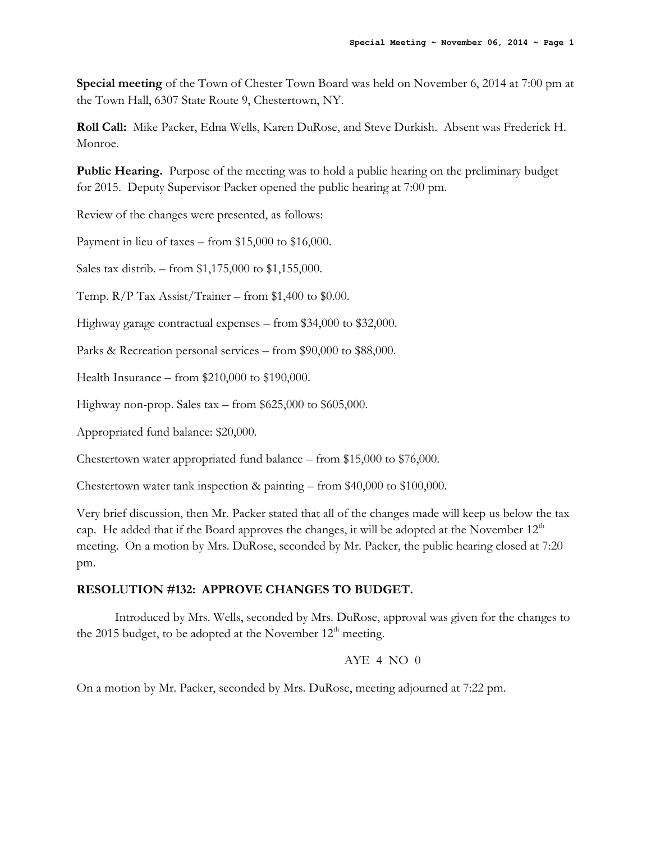**Special meeting** of the Town of Chester Town Board was held on November 6, 2014 at 7:00 pm at the Town Hall, 6307 State Route 9, Chestertown, NY.

**Roll Call:** Mike Packer, Edna Wells, Karen DuRose, and Steve Durkish. Absent was Frederick H. Monroe.

**Public Hearing.** Purpose of the meeting was to hold a public hearing on the preliminary budget for 2015. Deputy Supervisor Packer opened the public hearing at 7:00 pm.

Review of the changes were presented, as follows:

Payment in lieu of taxes – from \$15,000 to \$16,000.

Sales tax distrib. – from \$1,175,000 to \$1,155,000.

Temp.  $R/P$  Tax Assist/Trainer – from \$1,400 to \$0.00.

Highway garage contractual expenses – from \$34,000 to \$32,000.

Parks & Recreation personal services – from \$90,000 to \$88,000.

Health Insurance – from \$210,000 to \$190,000.

Highway non-prop. Sales tax – from \$625,000 to \$605,000.

Appropriated fund balance: \$20,000.

Chestertown water appropriated fund balance – from \$15,000 to \$76,000.

Chestertown water tank inspection & painting – from \$40,000 to \$100,000.

Very brief discussion, then Mr. Packer stated that all of the changes made will keep us below the tax cap. He added that if the Board approves the changes, it will be adopted at the November  $12<sup>th</sup>$ meeting. On a motion by Mrs. DuRose, seconded by Mr. Packer, the public hearing closed at 7:20 pm.

## **RESOLUTION #132: APPROVE CHANGES TO BUDGET.**

Introduced by Mrs. Wells, seconded by Mrs. DuRose, approval was given for the changes to the 2015 budget, to be adopted at the November  $12<sup>th</sup>$  meeting.

## AYE 4 NO  $0$

On a motion by Mr. Packer, seconded by Mrs. DuRose, meeting adjourned at 7:22 pm.